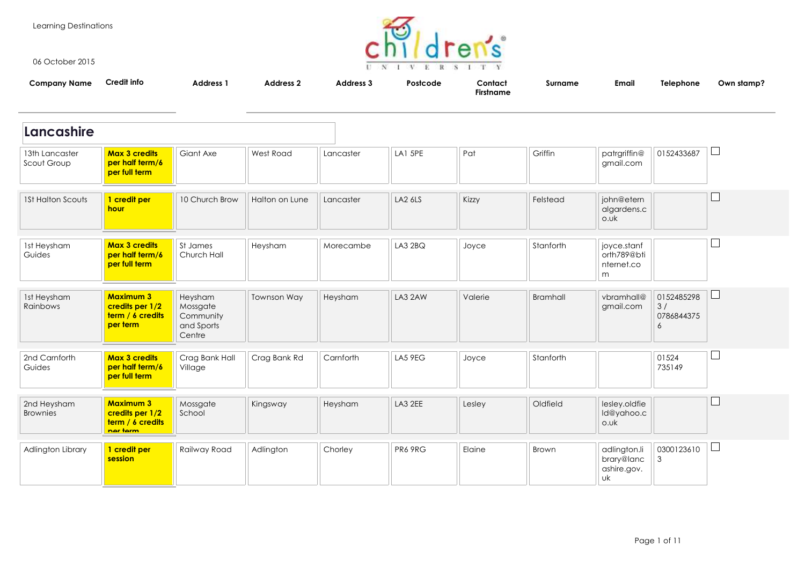Learning Destinations



06 October 2015

| .                             |                                                                     |                                                          |                    |                  | UNIVERSITY                        |                             |                 |                                               |                                     |            |
|-------------------------------|---------------------------------------------------------------------|----------------------------------------------------------|--------------------|------------------|-----------------------------------|-----------------------------|-----------------|-----------------------------------------------|-------------------------------------|------------|
| <b>Company Name</b>           | <b>Credit info</b>                                                  | <b>Address 1</b>                                         | <b>Address 2</b>   | <b>Address 3</b> | Postcode                          | Contact<br><b>Firstname</b> | Surname         | <b>Email</b>                                  | Telephone                           | Own stamp? |
| Lancashire                    |                                                                     |                                                          |                    |                  |                                   |                             |                 |                                               |                                     |            |
| 13th Lancaster<br>Scout Group | <b>Max 3 credits</b><br>per half term/6<br>per full term            | Giant Axe                                                | West Road          | Lancaster        | LA1 5PE                           | Pat                         | Griffin         | patrgriffin@<br>gmail.com                     | 0152433687                          |            |
| <b>1St Halton Scouts</b>      | 1 credit per<br>hour                                                | 10 Church Brow                                           | Halton on Lune     | Lancaster        | LA2 6LS                           | Kizzy                       | Felstead        | john@etern<br>algardens.c<br>o.uk             |                                     |            |
| 1st Heysham<br>Guides         | <b>Max 3 credits</b><br>per half term/6<br>per full term            | St James<br>Church Hall                                  | Heysham            | Morecambe        | LA32BQ                            | Joyce                       | Stanforth       | joyce.stanf<br>orth789@bti<br>nternet.co<br>m |                                     |            |
| 1st Heysham<br>Rainbows       | <b>Maximum 3</b><br>credits per 1/2<br>term / 6 credits<br>per term | Heysham<br>Mossgate<br>Community<br>and Sports<br>Centre | <b>Townson Way</b> | Heysham          | LA3 2AW                           | Valerie                     | <b>Bramhall</b> | vbramhall@<br>gmail.com                       | 0152485298<br>3/<br>0786844375<br>6 |            |
| 2nd Carnforth                 | May 2 crodite                                                       | Croo Ronk Holl                                           | Craa Rank Pd       | $C$ arnforth     | $I$ $\wedge$ $E$ $\Omega$ $E$ $C$ | $\n  l$                     | $trans$         |                                               | 01524                               |            |

| 2nd Carnforth<br>Guides | <b>Max 3 credits</b><br>per half term/6<br>per full term | Crag Bank Hall<br>Village | Crag Bank Rd | Carnforth | LA5 9EG | Joyce  | Stanforth |                             | 01524<br>735149 |  |
|-------------------------|----------------------------------------------------------|---------------------------|--------------|-----------|---------|--------|-----------|-----------------------------|-----------------|--|
| 2nd Heysham<br>Brownies | <b>Maximum 3</b><br>credits per 1/2                      | Mossgate<br>School        | Kingsway     | Heysham   | LA3 2EE | Lesley | Oldfield  | lesley.oldfie<br>Id@vahoo.c |                 |  |

School

|                   | term / 6 credits<br>ner term |              |           |         |         |        |       | o.uk                                            |            |     |
|-------------------|------------------------------|--------------|-----------|---------|---------|--------|-------|-------------------------------------------------|------------|-----|
| Adlington Library | 1 credit per<br>session      | Railway Road | Adlington | Chorley | PR6 9RG | Elaine | Brown | adlington.li<br>brary@lanc<br>ashire.gov.<br>UK | 0300123610 | لسا |

ld@yahoo.c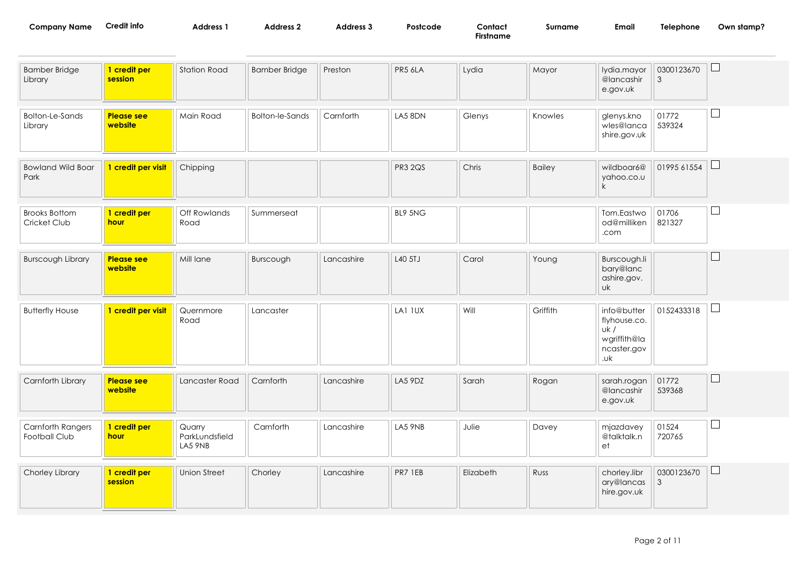| Company Name | redit info | <b>Address</b> | Address ' | \ddress : | Postcode | Contact         | Surname | Email | elephone<br>the contract of the contract of the contract of the contract of the contract of the contract of the contract of | Own stamp? |
|--------------|------------|----------------|-----------|-----------|----------|-----------------|---------|-------|-----------------------------------------------------------------------------------------------------------------------------|------------|
|              |            |                |           |           |          | --<br>Firstname |         |       |                                                                                                                             |            |

| <b>Bamber Bridge</b><br>Library      | 1 credit per<br>session      | <b>Station Road</b>                 | <b>Bamber Bridge</b>   | Preston    | PR5 6LA        | Lydia     | Mayor         | lydia.mayor<br>@lancashir<br>e.gov.uk                                    | 0300123670<br>3              | $\Box$                   |
|--------------------------------------|------------------------------|-------------------------------------|------------------------|------------|----------------|-----------|---------------|--------------------------------------------------------------------------|------------------------------|--------------------------|
| <b>Bolton-Le-Sands</b><br>Library    | <b>Please see</b><br>website | Main Road                           | <b>Bolton-le-Sands</b> | Carnforth  | LA5 8DN        | Glenys    | Knowles       | glenys.kno<br>wles@lanca<br>shire.gov.uk                                 | 01772<br>539324              | $\Box$                   |
| <b>Bowland Wild Boar</b><br>Park     | 1 credit per visit           | Chipping                            |                        |            | <b>PR3 2QS</b> | Chris     | <b>Bailey</b> | wildboar6@<br>yahoo.co.u<br>$\mathsf{k}$                                 | 01995 61554                  | $\Box$                   |
| <b>Brooks Bottom</b><br>Cricket Club | 1 credit per<br>hour         | Off Rowlands<br>Road                | Summerseat             |            | BL9 5NG        |           |               | Tom.Eastwo<br>od@milliken<br>.com                                        | 01706<br>821327              | $\Box$                   |
| <b>Burscough Library</b>             | <b>Please see</b><br>website | Mill lane                           | Burscough              | Lancashire | L40 5TJ        | Carol     | Young         | Burscough.li<br>bary@lanc<br>ashire.gov.<br><b>uk</b>                    |                              | $\overline{\phantom{a}}$ |
| <b>Butterfly House</b>               | 1 credit per visit           | Quernmore<br>Road                   | Lancaster              |            | LA1 IUX        | Will      | Griffith      | info@butter<br>flyhouse.co.<br>uk/<br>wgriffith@la<br>ncaster.gov<br>.uk | 0152433318                   | $\Box$                   |
| Carnforth Library                    | <b>Please see</b><br>website | Lancaster Road                      | Carnforth              | Lancashire | LA5 9DZ        | Sarah     | Rogan         | sarah.rogan<br>@lancashir<br>e.gov.uk                                    | 01772<br>539368              | ⊔                        |
| Carnforth Rangers<br>Football Club   | 1 credit per<br>hour         | Quarry<br>ParkLundsfield<br>LA5 9NB | Carnforth              | Lancashire | LA5 9NB        | Julie     | Davey         | mjazdavey<br>@talktalk.n<br>et                                           | 01524<br>720765              | $\Box$                   |
| Chorley Library                      | 1 credit per<br>session      | <b>Union Street</b>                 | Chorley                | Lancashire | PR7 1EB        | Elizabeth | Russ          | chorley.libr<br>ary@lancas<br>hire.gov.uk                                | 0300123670<br>$\mathfrak{Z}$ | $\Box$                   |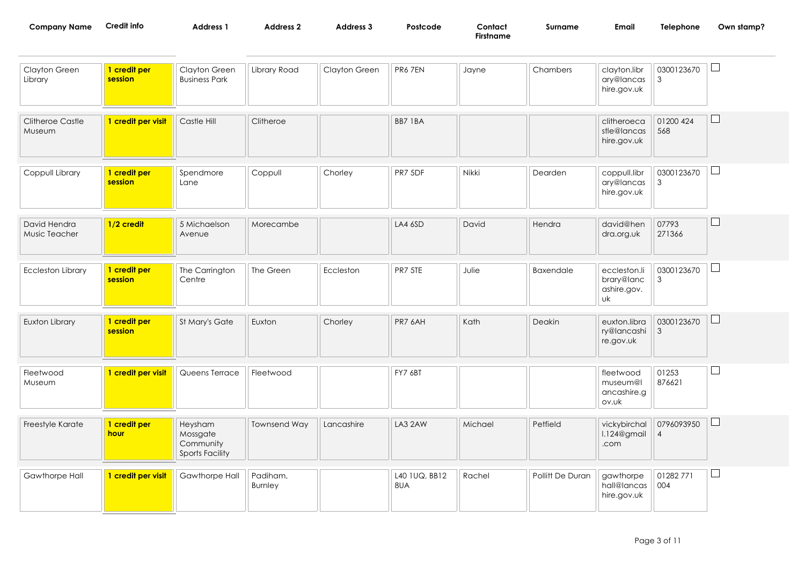| <b>Company Name</b>               | Credit info             | <b>Address 1</b>                                           | <b>Address 2</b>    | <b>Address 3</b> | Postcode | Contact<br><b>Firstname</b> | Surname          | Email                                           | Telephone                    | Own stamp? |
|-----------------------------------|-------------------------|------------------------------------------------------------|---------------------|------------------|----------|-----------------------------|------------------|-------------------------------------------------|------------------------------|------------|
| Clayton Green<br>Library          | 1 credit per<br>session | Clayton Green<br><b>Business Park</b>                      | Library Road        | Clayton Green    | PR67EN   | Jayne                       | Chambers         | clayton.libr<br>ary@lancas<br>hire.gov.uk       | 0300123670<br>$\mathbf{3}$   | $\Box$     |
| <b>Clitheroe Castle</b><br>Museum | 1 credit per visit      | Castle Hill                                                | Clitheroe           |                  | BB7 1BA  |                             |                  | clitheroeca<br>stle@lancas<br>hire.gov.uk       | 01200 424<br>568             | ⊔          |
| Coppull Library                   | 1 credit per<br>session | Spendmore<br>Lane                                          | Coppull             | Chorley          | PR7 5DF  | Nikki                       | Dearden          | coppull.libr<br>ary@lancas<br>hire.gov.uk       | 0300123670<br>$\mathfrak{Z}$ | $\Box$     |
| David Hendra<br>Music Teacher     | 1/2 credit              | 5 Michaelson<br>Avenue                                     | Morecambe           |                  | LA46SD   | David                       | Hendra           | david@hen<br>dra.org.uk                         | 07793<br>271366              | $\Box$     |
| <b>Eccleston Library</b>          | 1 credit per<br>session | The Carrington<br>Centre                                   | The Green           | Eccleston        | PR7 5TE  | Julie                       | <b>Baxendale</b> | eccleston.li<br>brary@lanc<br>ashire.gov.<br>uk | 0300123670<br>3              | $\Box$     |
| Euxton Library                    | 1 credit per<br>session | St Mary's Gate                                             | Euxton              | Chorley          | PR7 6AH  | Kath                        | Deakin           | euxton.libra<br>ry@lancashi<br>re.gov.uk        | 0300123670<br>$\mathbf{3}$   | $\Box$     |
| Fleetwood<br>Museum               | 1 credit per visit      | Queens Terrace                                             | Fleetwood           |                  | FY7 6BT  |                             |                  | fleetwood<br>museum@l<br>ancashire.g<br>ov.uk   | 01253<br>876621              | $\Box$     |
| Freestyle Karate                  | 1 credit per<br>hour    | Heysham<br>Mossgate<br>Community<br><b>Sports Facility</b> | <b>Townsend Way</b> | Lancashire       | LA3 2AW  | Michael                     | Petfield         | vickybirchal<br>l.124@gmail<br>.com             | 0796093950<br>$\overline{4}$ | $\Box$     |

| Gawthorpe Hall | 1 credit per visit | Gawthorpe Hall | Padiham,<br>Burnley |  | L40 1UQ, BB12<br>8UA | Rachel | Pollitt De Duran | gawthorpe<br>  hall@lancas    004<br>hire.gov.uk | 01282771 | 一 |
|----------------|--------------------|----------------|---------------------|--|----------------------|--------|------------------|--------------------------------------------------|----------|---|
|----------------|--------------------|----------------|---------------------|--|----------------------|--------|------------------|--------------------------------------------------|----------|---|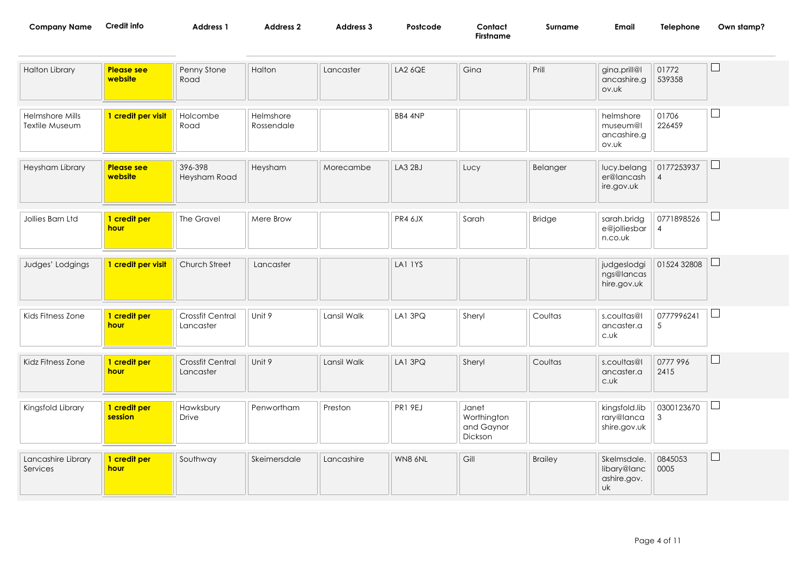| <b>Company Name</b> | Credit info | <b>Address</b> | Address ' | <b>Address 3</b> | Postcode<br>. | Contact<br>$ \sim$ | Surname | Email | Telephone | Own stamp? |
|---------------------|-------------|----------------|-----------|------------------|---------------|--------------------|---------|-------|-----------|------------|
|                     |             |                |           |                  |               | Firstname          |         |       |           |            |
|                     |             |                |           |                  |               |                    |         |       |           |            |

| <b>Halton Library</b>                    | <b>Please see</b><br>website | Penny Stone<br>Road                  | Halton                  | Lancaster   | <b>LA2 6QE</b> | Gina                                          | Prill          | gina.prill@l<br>ancashire.g<br>ov.uk                   | 01772<br>539358              |              |
|------------------------------------------|------------------------------|--------------------------------------|-------------------------|-------------|----------------|-----------------------------------------------|----------------|--------------------------------------------------------|------------------------------|--------------|
| <b>Helmshore Mills</b><br>Textile Museum | 1 credit per visit           | Holcombe<br>Road                     | Helmshore<br>Rossendale |             | BB4 4NP        |                                               |                | helmshore<br>museum@l<br>ancashire.g<br>ov.uk          | 01706<br>226459              | Ш            |
| Heysham Library                          | <b>Please see</b><br>website | 396-398<br>Heysham Road              | Heysham                 | Morecambe   | LA3 2BJ        | Lucy                                          | Belanger       | lucy.belang<br>er@lancash<br>ire.gov.uk                | 0177253937<br>$\overline{4}$ | $\mathbf{L}$ |
| Jollies Barn Ltd                         | 1 credit per<br>hour         | The Gravel                           | Mere Brow               |             | PR4 6JX        | Sarah                                         | Bridge         | sarah.bridg<br>e@jolliesbar<br>n.co.uk                 | 0771898526<br>$\overline{4}$ | $\Box$       |
| Judges' Lodgings                         | 1 credit per visit           | Church Street                        | Lancaster               |             | LAI 1YS        |                                               |                | judgeslodgi<br>ngs@lancas<br>hire.gov.uk               | 01524 32808                  | ⊔            |
| Kids Fitness Zone                        | 1 credit per<br>hour         | <b>Crossfit Central</b><br>Lancaster | Unit 9                  | Lansil Walk | LA1 3PQ        | Sheryl                                        | Coultas        | s.coultas@l<br>ancaster.a<br>c.vk                      | 0777996241<br>$\sqrt{5}$     | ⊔            |
| Kidz Fitness Zone                        | 1 credit per<br>hour         | Crossfit Central<br>Lancaster        | Unit 9                  | Lansil Walk | LA1 3PQ        | Sheryl                                        | Coultas        | s.coultas@l<br>ancaster.a<br>c.uk                      | 0777 996<br>2415             | ப            |
| Kingsfold Library                        | 1 credit per<br>session      | Hawksbury<br>Drive                   | Penwortham              | Preston     | <b>PR1 9EJ</b> | Janet<br>Worthington<br>and Gaynor<br>Dickson |                | kingsfold.lib<br>rary@lanca<br>shire.gov.uk            | 0300123670<br>$\mathfrak 3$  |              |
| Lancashire Library<br>Services           | 1 credit per<br>hour         | Southway                             | Skeimersdale            | Lancashire  | WN8 6NL        | Gill                                          | <b>Brailey</b> | Skelmsdale.<br>libary@lanc<br>ashire.gov.<br><b>uk</b> | 0845053<br>0005              |              |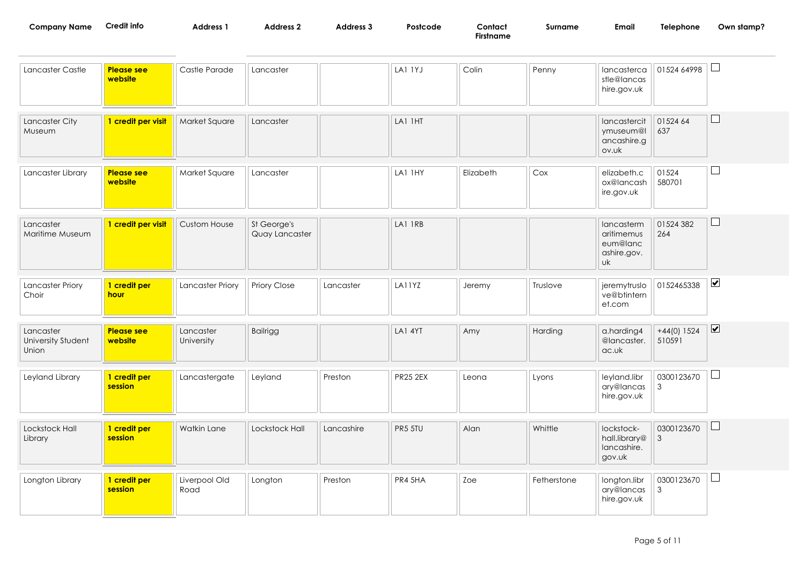| <b>Company Name</b> | Credit info | <b>Address</b> | <b>Address 2</b> | Address 3 | Postcode | Contact   | Surname | Email | Telephone | Own stamp? |
|---------------------|-------------|----------------|------------------|-----------|----------|-----------|---------|-------|-----------|------------|
|                     |             |                |                  |           |          | Firstname |         |       |           |            |

| Lancaster Castle                         | <b>Please see</b><br>website | Castle Parade           | Lancaster                     |            | LAI IYJ         | Colin     | Penny       | lancasterca<br>stle@lancas<br>hire.gov.uk                 | 01524 64998                  |                              |
|------------------------------------------|------------------------------|-------------------------|-------------------------------|------------|-----------------|-----------|-------------|-----------------------------------------------------------|------------------------------|------------------------------|
| Lancaster City<br>Museum                 | 1 credit per visit           | Market Square           | Lancaster                     |            | LAI IHT         |           |             | lancastercit<br>ymuseum@l<br>ancashire.g<br>ov.uk         | 01524 64<br>637              | ш                            |
| Lancaster Library                        | <b>Please see</b><br>website | Market Square           | Lancaster                     |            | LAI IHY         | Elizabeth | Cox         | elizabeth.c<br>ox@lancash<br>ire.gov.uk                   | 01524<br>580701              | $\blacksquare$               |
| Lancaster<br>Maritime Museum             | 1 credit per visit           | <b>Custom House</b>     | St George's<br>Quay Lancaster |            | LAI IRB         |           |             | lancasterm<br>aritimemus<br>eum@lanc<br>ashire.gov.<br>uk | 01524 382<br>264             | $\Box$                       |
| <b>Lancaster Priory</b><br>Choir         | 1 credit per<br>hour         | Lancaster Priory        | Priory Close                  | Lancaster  | LA11YZ          | Jeremy    | Truslove    | jeremytruslo<br>ve@btintern<br>et.com                     | 0152465338                   | $\blacktriangledown$         |
| Lancaster<br>University Student<br>Union | <b>Please see</b><br>website | Lancaster<br>University | <b>Bailrigg</b>               |            | LA1 4YT         | Amy       | Harding     | a.harding4<br>@lancaster.<br>ac.uk                        | $+44(0)$ 1524<br>510591      | $\boxed{\blacktriangledown}$ |
| Leyland Library                          | 1 credit per<br>session      | Lancastergate           | Leyland                       | Preston    | <b>PR25 2EX</b> | Leona     | Lyons       | leyland.libr<br>ary@lancas<br>hire.gov.uk                 | 0300123670<br>$\mathbf{3}$   | $\Box$                       |
| Lockstock Hall<br>Library                | 1 credit per<br>session      | Watkin Lane             | Lockstock Hall                | Lancashire | PR5 5TU         | Alan      | Whittle     | lockstock-<br>hall.library@<br>lancashire.<br>gov.uk      | 0300123670<br>$\mathfrak{Z}$ | $\Box$                       |
| Longton Library                          | 1 credit per<br>session      | Liverpool Old<br>Road   | Longton                       | Preston    | PR4 5HA         | Zoe       | Fetherstone | longton.libr<br>ary@lancas<br>hire.gov.uk                 | 0300123670<br>3              |                              |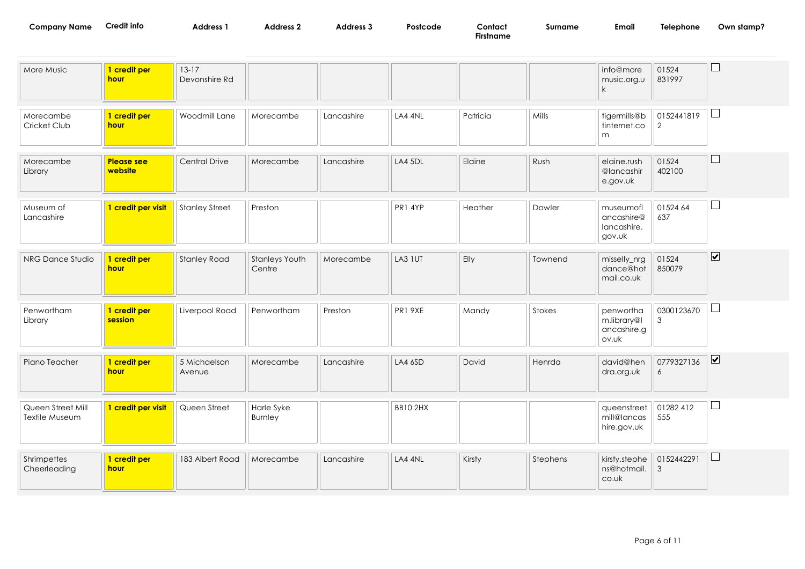| <b>Company Name</b> | Credit info | Address 1 | Address 2 | Address 3 | Postcode | Contact |
|---------------------|-------------|-----------|-----------|-----------|----------|---------|
|---------------------|-------------|-----------|-----------|-----------|----------|---------|

**Firstname**

**Credit info Surname Email Telephone Own stamp?**

| More Music                          | 1 credit per<br>hour         | $13-17$<br>Devonshire Rd |                          |            |                |          |          | info@more<br>music.org.u<br>$\mathsf{k}$         | 01524<br>831997  | Ш                            |
|-------------------------------------|------------------------------|--------------------------|--------------------------|------------|----------------|----------|----------|--------------------------------------------------|------------------|------------------------------|
| Morecambe<br>Cricket Club           | 1 credit per<br><b>hour</b>  | Woodmill Lane            | Morecambe                | Lancashire | LA4 4NL        | Patricia | Mills    | tigermills@b<br>tinternet.co<br>m                | 0152441819<br>2  | $\Box$                       |
| Morecambe<br>Library                | <b>Please see</b><br>website | Central Drive            | Morecambe                | Lancashire | LA4 5DL        | Elaine   | Rush     | elaine.rush<br>@lancashir<br>e.gov.uk            | 01524<br>402100  | ⊔                            |
| Museum of<br>Lancashire             | 1 credit per visit           | <b>Stanley Street</b>    | Preston                  |            | PR1 4YP        | Heather  | Dowler   | museumofl<br>ancashire@<br>lancashire.<br>gov.uk | 01524 64<br>637  | $\sqcup$                     |
| NRG Dance Studio                    | 1 credit per<br><b>hour</b>  | <b>Stanley Road</b>      | Stanleys Youth<br>Centre | Morecambe  | LA3 1UT        | Elly     | Townend  | misselly_nrg<br>dance@hot<br>mail.co.uk          | 01524<br>850079  | $\boxed{\blacktriangledown}$ |
| Penwortham<br>Library               | 1 credit per<br>session      | Liverpool Road           | Penwortham               | Preston    | PR1 9XE        | Mandy    | Stokes   | penwortha<br>m.library@l<br>ancashire.g<br>ov.uk | 0300123670<br>3  |                              |
| Piano Teacher                       | 1 credit per<br><b>hour</b>  | 5 Michaelson<br>Avenue   | Morecambe                | Lancashire | LA4 6SD        | David    | Henrda   | david@hen<br>dra.org.uk                          | 0779327136<br>6  | $\boxed{\blacktriangledown}$ |
| Queen Street Mill<br>Textile Museum | 1 credit per visit           | Queen Street             | Harle Syke<br>Burnley    |            | <b>BB102HX</b> |          |          | queenstreet<br>mill@lancas<br>hire.gov.uk        | 01282 412<br>555 | ⊔                            |
| Shrimpettes<br>Cheerleading         | 1 credit per<br>hour         | 183 Albert Road          | Morecambe                | Lancashire | LA4 4NL        | Kirsty   | Stephens | kirsty.stephe<br>ns@hotmail.<br>co.uk            | 0152442291<br>3  | ⊔                            |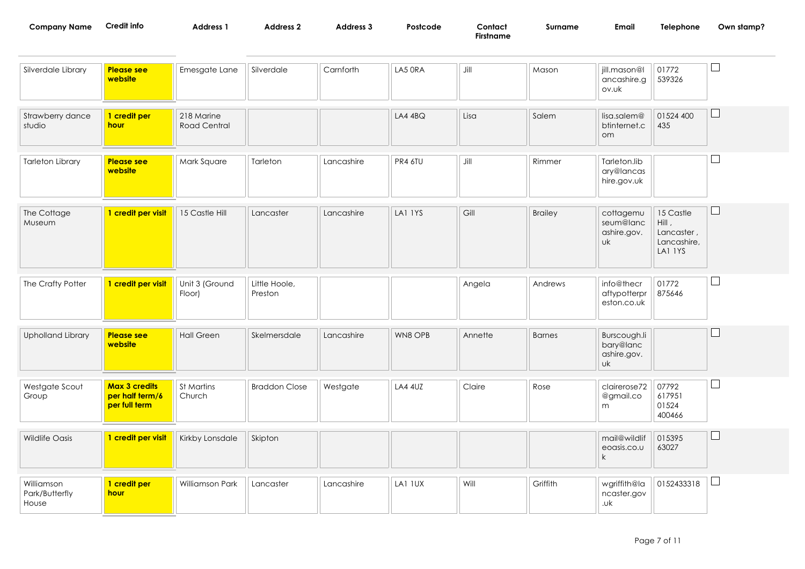| Company Name | Credit info | <b>Address</b> | <b>Address 2</b> | Address | Postcode | Contact         | Surname | Emai | Telephone | Own stamp? |
|--------------|-------------|----------------|------------------|---------|----------|-----------------|---------|------|-----------|------------|
|              |             |                |                  |         |          | --<br>Firstname |         |      |           |            |

| Silverdale Library                    | <b>Please see</b><br>website                             | Emesgate Lane                     | Silverdale               | Carnforth  | LA5 ORA        | Jill    | Mason          | jill.mason@l<br>ancashire.g<br>ov.uk                  | 01772<br>539326                                            | ⊔                        |
|---------------------------------------|----------------------------------------------------------|-----------------------------------|--------------------------|------------|----------------|---------|----------------|-------------------------------------------------------|------------------------------------------------------------|--------------------------|
| Strawberry dance<br>studio            | 1 credit per<br>hour                                     | 218 Marine<br><b>Road Central</b> |                          |            | $LA4$ $4BQ$    | Lisa    | Salem          | lisa.salem@<br>btinternet.c<br>om                     | 01524 400<br>435                                           | $\Box$                   |
| <b>Tarleton Library</b>               | <b>Please see</b><br>website                             | Mark Square                       | Tarleton                 | Lancashire | PR4 6TU        | Jill    | Rimmer         | Tarleton.lib<br>ary@lancas<br>hire.gov.uk             |                                                            | $\sim$                   |
| The Cottage<br>Museum                 | 1 credit per visit                                       | 15 Castle Hill                    | Lancaster                | Lancashire | LAI IYS        | Gill    | <b>Brailey</b> | cottagemu<br>seum@lanc<br>ashire.gov.<br>uk           | 15 Castle<br>Hill,<br>Lancaster,<br>Lancashire,<br>LA1 IYS | $\Box$                   |
| The Crafty Potter                     | 1 credit per visit                                       | Unit 3 (Ground<br>Floor)          | Little Hoole,<br>Preston |            |                | Angela  | Andrews        | info@thecr<br>aftypotterpr<br>eston.co.uk             | 01772<br>875646                                            | $\Box$                   |
| <b>Upholland Library</b>              | <b>Please see</b><br>website                             | <b>Hall Green</b>                 | Skelmersdale             | Lancashire | WN8 OPB        | Annette | <b>Barnes</b>  | Burscough.li<br>bary@lanc<br>ashire.gov.<br><b>uk</b> |                                                            | $\Box$                   |
| Westgate Scout<br>Group               | <b>Max 3 credits</b><br>per half term/6<br>per full term | St Martins<br>Church              | <b>Braddon Close</b>     | Westgate   | <b>LA4 4UZ</b> | Claire  | Rose           | clairerose72<br>@gmail.co<br>m                        | 07792<br>617951<br>01524<br>400466                         | $\Box$                   |
| <b>Wildlife Oasis</b>                 | 1 credit per visit                                       | Kirkby Lonsdale                   | Skipton                  |            |                |         |                | mail@wildlif<br>eoasis.co.u<br>$\mathsf{k}$           | 015395<br>63027                                            | $\Box$                   |
| Williamson<br>Park/Butterfly<br>House | 1 credit per<br>hour                                     | Williamson Park                   | Lancaster                | Lancashire | LA1 IUX        | Will    | Griffith       | wgriffith@la<br>ncaster.gov<br>.uk                    | 0152433318                                                 | $\overline{\phantom{a}}$ |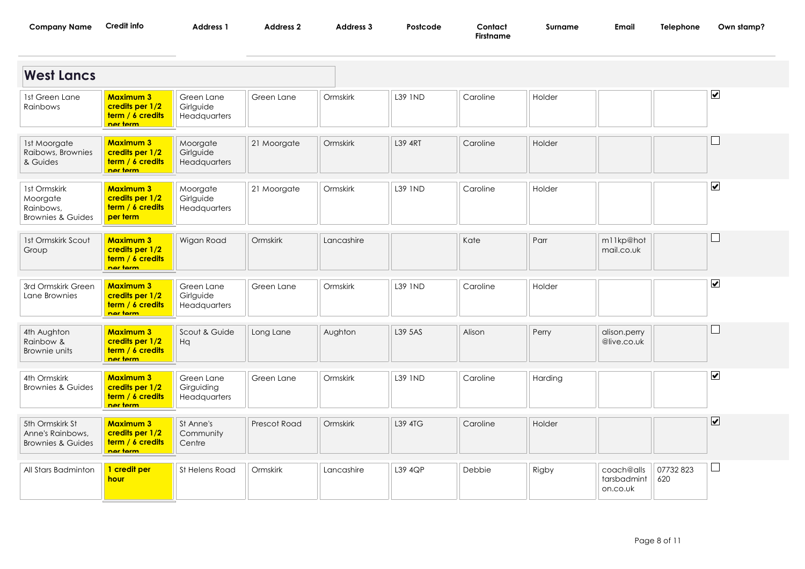| <b>Company Name</b> | Credit into | Address | Address | <b>Address 3</b> | <b>Postcod</b> | Contact   | surname | Email | elephone | stamp:<br>Own. |
|---------------------|-------------|---------|---------|------------------|----------------|-----------|---------|-------|----------|----------------|
|                     |             |         |         |                  |                | Firstname |         |       |          |                |

| <b>West Lancs</b>                                                     |                                                                     |                                          |              |            |                |          |               |                                       |                  |                              |
|-----------------------------------------------------------------------|---------------------------------------------------------------------|------------------------------------------|--------------|------------|----------------|----------|---------------|---------------------------------------|------------------|------------------------------|
| 1st Green Lane<br>Rainbows                                            | <b>Maximum 3</b><br>credits per 1/2<br>term / 6 credits<br>nar tarm | Green Lane<br>Girlguide<br>Headquarters  | Green Lane   | Ormskirk   | L39 1ND        | Caroline | Holder        |                                       |                  | $\boxed{\blacktriangledown}$ |
| 1st Moorgate<br>Raibows, Brownies<br>& Guides                         | <b>Maximum 3</b><br>credits per 1/2<br>term / 6 credits<br>nar tarm | Moorgate<br>Girlguide<br>Headquarters    | 21 Moorgate  | Ormskirk   | <b>L39 4RT</b> | Caroline | Holder        |                                       |                  |                              |
| 1st Ormskirk<br>Moorgate<br>Rainbows,<br><b>Brownies &amp; Guides</b> | <b>Maximum 3</b><br>credits per 1/2<br>term / 6 credits<br>per term | Moorgate<br>Girlguide<br>Headquarters    | 21 Moorgate  | Ormskirk   | L39 IND        | Caroline | Holder        |                                       |                  | $\overline{\mathbf{v}}$      |
| 1st Ormskirk Scout<br>Group                                           | <b>Maximum 3</b><br>credits per 1/2<br>term / 6 credits<br>nar tarm | Wigan Road                               | Ormskirk     | Lancashire |                | Kate     | Parr          | m11kp@hot<br>mail.co.uk               |                  | $\Box$                       |
| 3rd Ormskirk Green<br>Lane Brownies                                   | <b>Maximum 3</b><br>credits per 1/2<br>term / 6 credits<br>nor torm | Green Lane<br>Girlguide<br>Headquarters  | Green Lane   | Ormskirk   | L39 1ND        | Caroline | Holder        |                                       |                  | $\boxed{\blacktriangledown}$ |
| 4th Aughton<br>Rainbow &<br>Brownie units                             | <b>Maximum 3</b><br>credits per 1/2<br>term / 6 credits<br>nor torm | Scout & Guide<br>Hq                      | Long Lane    | Aughton    | L39 5AS        | Alison   | Perry         | alison.perry<br>@live.co.uk           |                  | $\mathbb{R}^n$               |
| 4th Ormskirk<br><b>Brownies &amp; Guides</b>                          | <b>Maximum 3</b><br>credits per 1/2<br>term / 6 credits<br>nor torm | Green Lane<br>Girguiding<br>Headquarters | Green Lane   | Ormskirk   | L39 IND        | Caroline | Harding       |                                       |                  | $\overline{\mathbf{v}}$      |
| 5th Ormskirk St<br>Anne's Rainbows,<br><b>Brownies &amp; Guides</b>   | <b>Maximum 3</b><br>credits per 1/2<br>term / 6 credits<br>nor torm | St Anne's<br>Community<br>Centre         | Prescot Road | Ormskirk   | L39 4TG        | Caroline | <b>Holder</b> |                                       |                  | $\overline{\mathbf{v}}$      |
| All Stars Badminton                                                   | 1 credit per<br>hour                                                | St Helens Road                           | Ormskirk     | Lancashire | L39 4QP        | Debbie   | Rigby         | coach@alls<br>tarsbadmint<br>on.co.uk | 07732 823<br>620 |                              |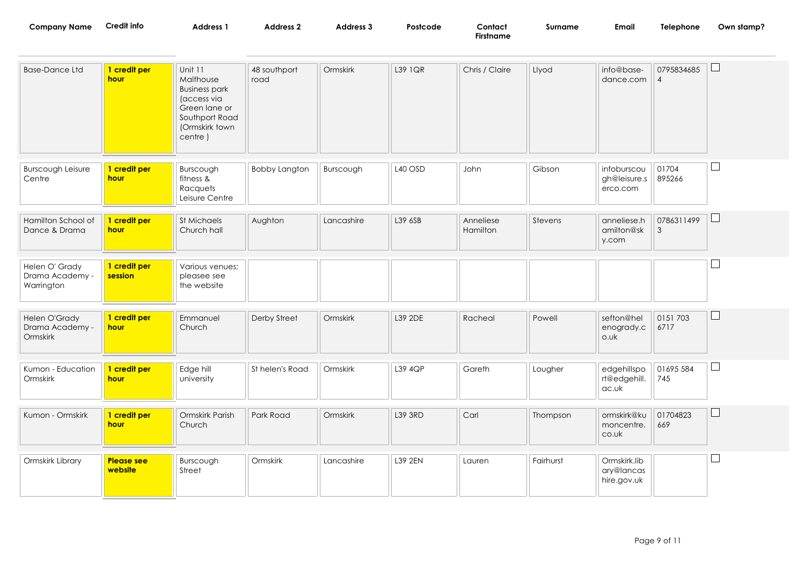| <b>Company Name</b>                             | <b>Credit info</b>           | <b>Address 1</b>                                                                                                            | <b>Address 2</b>     | Address 3  | Postcode | Contact<br><b>Firstname</b> | Surname   | <b>Email</b>                              | Telephone                    | Own stamp?               |
|-------------------------------------------------|------------------------------|-----------------------------------------------------------------------------------------------------------------------------|----------------------|------------|----------|-----------------------------|-----------|-------------------------------------------|------------------------------|--------------------------|
| <b>Base-Dance Ltd</b>                           | 1 credit per<br>hour         | Unit 11<br>Malthouse<br><b>Business park</b><br>(access via<br>Green lane or<br>Southport Road<br>(Ormskirk town<br>centre) | 48 southport<br>road | Ormskirk   | L39 1QR  | Chris / Claire              | Llyod     | info@base-<br>dance.com                   | 0795834685<br>$\overline{4}$ | $\sqcup$                 |
| <b>Burscough Leisure</b><br>Centre              | 1 credit per<br>hour         | Burscough<br>fitness &<br>Racquets<br>Leisure Centre                                                                        | <b>Bobby Langton</b> | Burscough  | L40 OSD  | John                        | Gibson    | infoburscou<br>gh@leisure.s<br>erco.com   | 01704<br>895266              | $\Box$                   |
| Hamilton School of<br>Dance & Drama             | 1 credit per<br>hour         | St Michaels<br>Church hall                                                                                                  | Aughton              | Lancashire | L39 6SB  | Anneliese<br>Hamilton       | Stevens   | anneliese.h<br>amilton@sk<br>y.com        | 0786311499<br>3              | $\Box$                   |
| Helen O' Grady<br>Drama Academy -<br>Warrington | 1 credit per<br>session      | Various venues;<br>pleasee see<br>the website                                                                               |                      |            |          |                             |           |                                           |                              |                          |
| Helen O'Grady<br>Drama Academy -<br>Ormskirk    | 1 credit per<br>hour         | Emmanuel<br>Church                                                                                                          | Derby Street         | Ormskirk   | L39 2DE  | Racheal                     | Powell    | sefton@hel<br>enogrady.c<br>o.uk          | 0151 703<br>6717             | ⊔                        |
| Kumon - Education<br>Ormskirk                   | 1 credit per<br>hour         | Edge hill<br>university                                                                                                     | St helen's Road      | Ormskirk   | L39 4QP  | Gareth                      | Lougher   | edgehillspo<br>rt@edgehill.<br>ac.uk      | 01695 584<br>745             | $\overline{\phantom{a}}$ |
| Kumon - Ormskirk                                | 1 credit per<br>hour         | Ormskirk Parish<br>Church                                                                                                   | Park Road            | Ormskirk   | L39 3RD  | Carl                        | Thompson  | ormskirk@ku<br>moncentre.<br>co.uk        | 01704823<br>669              | $\Box$                   |
| Ormskirk Library                                | <b>Please see</b><br>website | Burscough<br>Street                                                                                                         | Ormskirk             | Lancashire | L39 2EN  | Lauren                      | Fairhurst | Ormskirk.lib<br>ary@lancas<br>hire.gov.uk |                              |                          |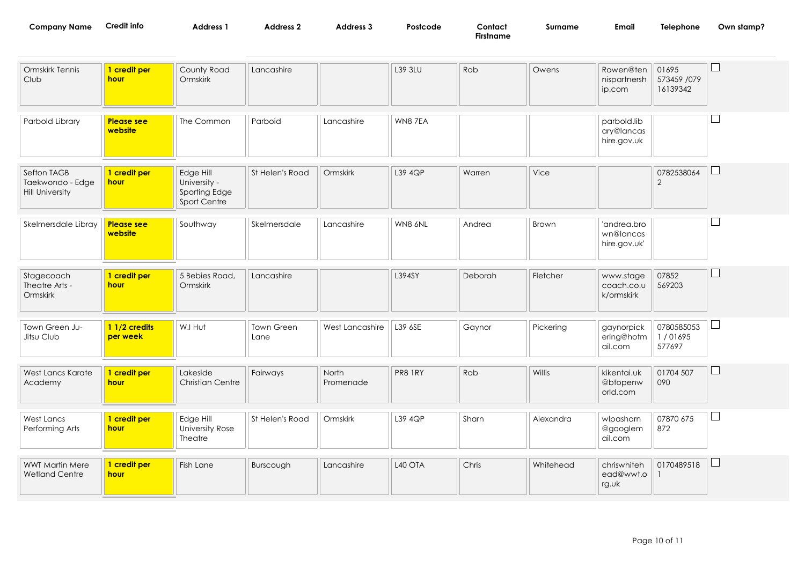| <b>Company Name</b> | dit into | <b>Address</b> | <b>Address</b> | Address J | Postcode | Contact | Surname | Emai | Telephone<br>the contract of the contract of the contract of | Own stamp? |
|---------------------|----------|----------------|----------------|-----------|----------|---------|---------|------|--------------------------------------------------------------|------------|
|                     |          |                |                |           |          | namc    |         |      |                                                              |            |

| Ormskirk Tennis<br>Club                                   | 1 credit per<br>hour         | County Road<br>Ormskirk                                    | Lancashire         |                    | L39 3LU | Rob     | Owens     | Rowen@ten<br>nispartnersh<br>ip.com      | 01695<br>573459 /079<br>16139342 |              |
|-----------------------------------------------------------|------------------------------|------------------------------------------------------------|--------------------|--------------------|---------|---------|-----------|------------------------------------------|----------------------------------|--------------|
| Parbold Library                                           | <b>Please see</b><br>website | The Common                                                 | Parboid            | Lancashire         | WN87EA  |         |           | parbold.lib<br>ary@lancas<br>hire.gov.uk |                                  |              |
| Sefton TAGB<br>Taekwondo - Edge<br><b>Hill University</b> | 1 credit per<br>hour         | Edge Hill<br>University -<br>Sporting Edge<br>Sport Centre | St Helen's Road    | Ormskirk           | L39 4QP | Warren  | Vice      |                                          | 0782538064<br>2                  |              |
| Skelmersdale Libray                                       | <b>Please see</b><br>website | Southway                                                   | Skelmersdale       | Lancashire         | WN8 6NL | Andrea  | Brown     | 'andrea.bro<br>wn@lancas<br>hire.gov.uk' |                                  |              |
| Stagecoach<br>Theatre Arts -<br>Ormskirk                  | 1 credit per<br>hour         | 5 Bebies Road,<br>Ormskirk                                 | Lancashire         |                    | L394SY  | Deborah | Fletcher  | www.stage<br>coach.co.u<br>k/ormskirk    | 07852<br>569203                  | $\mathsf{L}$ |
| Town Green Ju-<br>Jitsu Club                              | 1 1/2 credits<br>per week    | W.I Hut                                                    | Town Green<br>Lane | West Lancashire    | L39 6SE | Gaynor  | Pickering | gaynorpick<br>ering@hotm<br>ail.com      | 0780585053<br>1/01695<br>577697  |              |
| West Lancs Karate<br>Academy                              | 1 credit per<br>hour         | Lakeside<br><b>Christian Centre</b>                        | Fairways           | North<br>Promenade | PR8 1RY | Rob     | Willis    | kikentai.uk<br>@btopenw<br>orld.com      | 01704 507<br>090                 | $\Box$       |
| West Lancs<br>Performing Arts                             | 1 credit per<br><b>hour</b>  | Edge Hill<br>University Rose<br>Theatre                    | St Helen's Road    | Ormskirk           | L39 4QP | Sharn   | Alexandra | wlpasharn<br>@googlem<br>ail.com         | 07870 675<br>872                 |              |
| <b>WWT Martin Mere</b><br><b>Wetland Centre</b>           | 1 credit per<br>hour         | Fish Lane                                                  | Burscough          | Lancashire         | L40 OTA | Chris   | Whitehead | chriswhiteh<br>ead@wwt.o<br>rg.uk        | 0170489518                       |              |